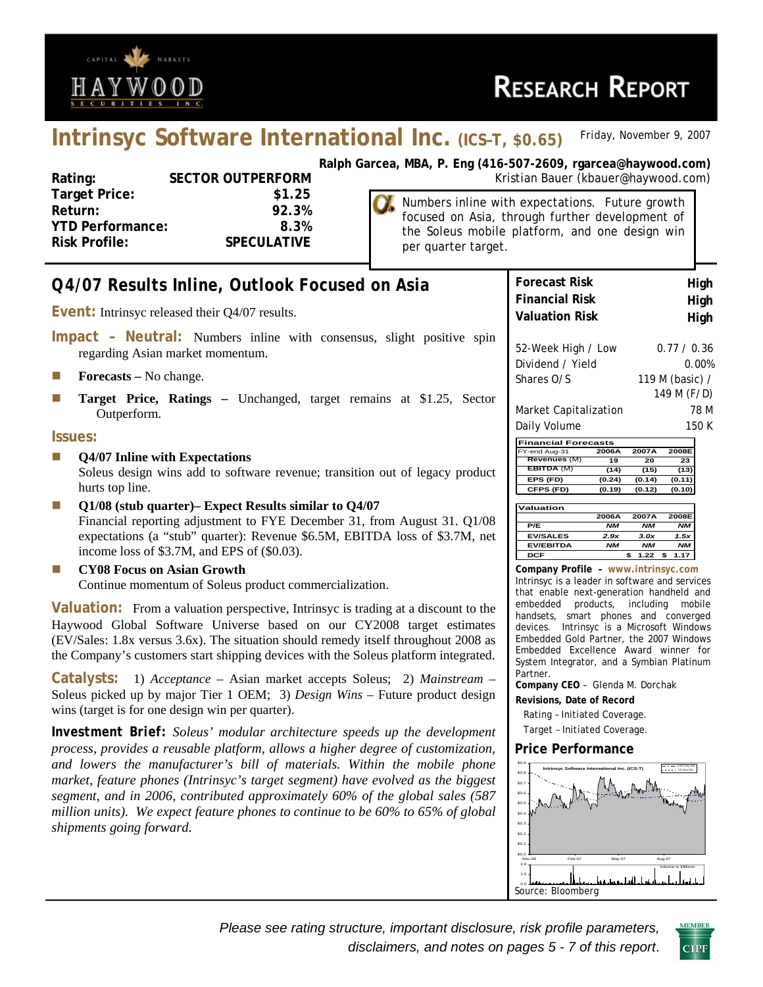

# **Intrinsyc Software International Inc. (ICS–T, \$0.65)** *Friday, November 9, 2007*

**Target Price: \$1.25 Return: 92.3% YTD Performance: 8.3% Risk Profile: SPECULATIVE**

**Ralph Garcea, MBA, P. Eng (416-507-2609, rgarcea@haywood.com)** Rating: SECTOR OUTPERFORM **SECTOR COUTPERFORM** Kristian Bauer (kbauer@haywood.com)

> Numbers inline with expectations. Future growth focused on Asia, through further development of the Soleus mobile platform, and one design win per quarter target.

| Q4/07 Results Inline, Outlook Focused on Asia                                                             | <b>Forecast Risk</b><br>High                                                                      |
|-----------------------------------------------------------------------------------------------------------|---------------------------------------------------------------------------------------------------|
|                                                                                                           | <b>Financial Risk</b><br>High                                                                     |
| <b>Event:</b> Intrinsyc released their Q4/07 results.                                                     | <b>Valuation Risk</b><br>High                                                                     |
| Impact - Neutral: Numbers inline with consensus, slight positive spin<br>regarding Asian market momentum. | 52-Week High / Low<br>0.77 / 0.36<br>Dividend / Yield                                             |
| <b>Forecasts</b> – No change.<br>L.                                                                       | 0.00%<br>Shares O/S<br>119 M (basic) /                                                            |
| T.                                                                                                        | 149 M (F/D)                                                                                       |
| Target Price, Ratings - Unchanged, target remains at \$1.25, Sector<br>Outperform.                        | 78 M<br>Market Capitalization                                                                     |
|                                                                                                           | Daily Volume<br>150 K                                                                             |
| Issues:                                                                                                   | <b>Financial Forecasts</b>                                                                        |
| Q4/07 Inline with Expectations<br>u.                                                                      | 2008E<br>Y-end Aug-31<br>2006A<br>2007A<br>Revenues (M)<br>19<br>20<br>23                         |
| Soleus design wins add to software revenue; transition out of legacy product                              | EBITDA (M)<br>(14)<br>(15)<br>(13)<br>EPS (FD)<br>(0.24)<br>(0.14)<br>(0.11)                      |
| hurts top line.                                                                                           | CFPS (FD)<br>(0.19)<br>(0.12)<br>(0.10)                                                           |
| Q1/08 (stub quarter)- Expect Results similar to Q4/07<br>L.                                               | Valuation                                                                                         |
| Financial reporting adjustment to FYE December 31, from August 31. Q1/08                                  | 2006A<br>2007A<br>2008E<br>P/E<br><b>NM</b><br><b>NM</b><br><b>NM</b>                             |
| expectations (a "stub" quarter): Revenue \$6.5M, EBITDA loss of \$3.7M, net                               | <b>EV/SALES</b><br>2.9x<br>3.0x<br>1.5x                                                           |
| income loss of \$3.7M, and EPS of (\$0.03).                                                               | <b>EV/EBITDA</b><br><b>NM</b><br><b>NM</b><br><b>NM</b><br><b>DCF</b><br>1.22<br>1.17<br>\$<br>\$ |
| <b>CY08 Focus on Asian Growth</b><br>L.                                                                   | Company Profile - www.intrinsyc.com                                                               |
| Continue momentum of Soleus product commercialization.                                                    | Intrinsyc is a leader in software and services                                                    |
|                                                                                                           | that enable next-generation handheld and<br>embedded<br>products,<br>including<br>mobile          |
| <b>Valuation:</b> From a valuation perspective, Intrinsyc is trading at a discount to the                 | handsets, smart phones and converged                                                              |
| Haywood Global Software Universe based on our CY2008 target estimates                                     | devices. Intrinsyc is a Microsoft Windows                                                         |
| (EV/Sales: 1.8x versus 3.6x). The situation should remedy itself throughout 2008 as                       | Embedded Gold Partner, the 2007 Windows<br>Embedded Excellence Award winner for                   |
| the Company's customers start shipping devices with the Soleus platform integrated.                       | System Integrator, and a Symbian Platinum                                                         |
| <b>Catalysts:</b> 1) Acceptance – Asian market accepts Soleus; 2) Mainstream –                            | Partner.<br>Company CEO - Glenda M. Dorchak                                                       |
| Soleus picked up by major Tier 1 OEM; 3) Design Wins - Future product design                              | Revisions, Date of Record                                                                         |
| wins (target is for one design win per quarter).                                                          | Rating - Initiated Coverage.                                                                      |
| <b>Investment Brief:</b> Soleus' modular architecture speeds up the development                           | Target - Initiated Coverage.                                                                      |
| process, provides a reusable platform, allows a higher degree of customization,                           | <b>Price Performance</b>                                                                          |
| and lowers the manufacturer's bill of materials. Within the mobile phone                                  | \$0.1<br> ---- -200<br> ----- 501<br>Intrinsyc Software International Inc. (ICS-T)                |
| market, feature phones (Intrinsyc's target segment) have evolved as the biggest                           | \$0.8<br>\$0.7                                                                                    |
| segment, and in 2006, contributed approximately 60% of the global sales (587                              |                                                                                                   |
| million units). We expect feature phones to continue to be 60% to 65% of global                           |                                                                                                   |
| shipments going forward.                                                                                  | \$0.3                                                                                             |
|                                                                                                           | \$0.2<br>\$0.1                                                                                    |
|                                                                                                           | sin n<br>Feb-07<br>May-07<br>Aug-07<br>Nov-0                                                      |
|                                                                                                           | 2.0<br>Volume in Millions                                                                         |
|                                                                                                           | اح الساحي براء باريا                                                                              |

0.0 Source: Bloomberg

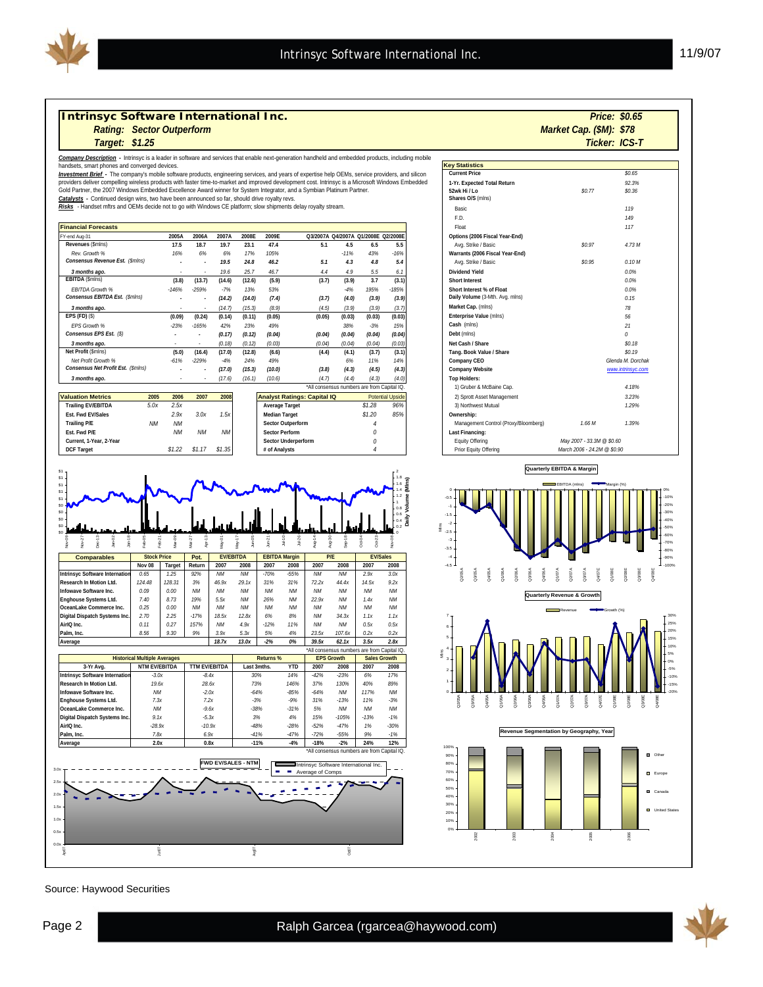

#### *Intrinsyc Software International Inc.*

*Rating: Market Cap. (\$M): Sector Outperform* 

#### *\$1.25*

*Company Description -* Intrinsyc is a leader in software and services that enable next-generation handheld and embedded products, including mobile

handsets, smart phones and converged devices.<br><mark>*Investment Brief -* Th</mark>e company's mobile software products, engineering services, and years of expertise help OEMs, service providers, and silicon<br>providers deliver compelli

#### Gold Partner, the 2007 Windows Embedded Excellence Award winner for System Integrator, and a Symbian Platinum Partner.

*Catalysts -* Continued design wins, two have been announced so far, should drive royalty revs.

*Risks* - Handset mftrs and OEMs decide not to go with Windows CE platform; slow shipments delay royalty stream.

| <b>Financial Forecasts</b>         |         |                          |        |        |        |        |        |                                     |         | Float                           |
|------------------------------------|---------|--------------------------|--------|--------|--------|--------|--------|-------------------------------------|---------|---------------------------------|
| FY-end Aug-31                      | 2005A   | 2006A                    | 2007A  | 2008E  | 2009E  |        |        | Q3/2007A Q4/2007A Q1/2008E Q2/2008E |         | Options (2006 Fiscal Year-End)  |
| Revenues (\$mlns)                  | 17.5    | 18.7                     | 19.7   | 23.1   | 47.4   | 5.1    | 4.5    | 6.5                                 | 5.5     | Avg. Strike / Basic             |
| Rev. Growth %                      | 16%     | 6%                       | 6%     | 17%    | 105%   |        | $-11%$ | 43%                                 | $-16%$  | Warrants (2006 Fiscal Year-End) |
| Consensus Revenue Est. (\$mlns)    |         | $\overline{\phantom{a}}$ | 19.5   | 24.8   | 46.2   | 5.1    | 4.3    | 4.8                                 | 5.4     | Avg. Strike / Basic             |
| 3 months ago.                      |         |                          | 19.6   | 25.7   | 46.7   | 4.4    | 4.9    | 5.5                                 | 6.1     | Dividend Yield                  |
| <b>EBITDA (\$mins)</b>             | (3.8)   | (13.7)                   | (14.6) | (12.6) | (5.9)  | (3.7)  | (3.9)  | 3.7                                 | (3.1)   | <b>Short Interest</b>           |
| <b>FBITDA Growth %</b>             | $-146%$ | $-259%$                  | $-7%$  | 13%    | 53%    |        | $-4%$  | 195%                                | $-185%$ | Short Interest % of Float       |
| Consensus EBITDA Est. (\$mins)     |         | $\overline{\phantom{a}}$ | (14.2) | (14.0) | (7, 4) | (3.7)  | (4.0)  | (3.9)                               | (3.9)   | Daily Volume (3-Mth. Avq. mlns) |
| 3 months ago.                      |         |                          | (14.7) | (15.3) | (8.9)  | (4.5)  | (3.9)  | (3.9)                               | (3.7)   | Market Cap. (mlns)              |
| $EPS$ (FD) $(S)$                   | (0.09)  | (0.24)                   | (0.14) | (0.11) | (0.05) | (0.05) | (0.03) | (0.03)                              | (0.03)  | Enterprise Value (mlns)         |
| <b>EPS Growth %</b>                | $-23%$  | $-165%$                  | 42%    | 23%    | 49%    |        | 38%    | $-3%$                               | 15%     | Cash (mlns)                     |
| Consensus EPS Est. (\$)            |         |                          | (0.17) | (0.12) | (0.04) | (0.04) | (0.04) | (0.04)                              | (0.04)  | Debt (mins)                     |
| 3 months ago.                      |         |                          | (0.18) | (0.12) | (0.03) | (0.04) | (0.04) | (0.04)                              | (0.03)  | Net Cash / Share                |
| Net Profit (\$mlns)                | (5.0)   | (16.4)                   | (17.0) | (12.8) | (6.6)  | (4.4)  | (4.1)  | (3.7)                               | (3.1)   | Tang. Book Value / Share        |
| Net Profit Growth %                | $-61%$  | $-229%$                  | $-4%$  | 24%    | 49%    |        | 6%     | 11%                                 | 14%     | Company CEO                     |
| Consensus Net Profit Est. (\$mlns) |         | $\overline{\phantom{a}}$ | (17.0) | (15.3) | (10.0) | (3.8)  | (4.3)  | (4.5)                               | (4.3)   | <b>Company Website</b>          |
| 3 months ago.                      |         |                          | (17.6) | (16.1) | (10.6) | (4.7)  | (4.4)  | (4.3)                               | (4.0)   | <b>Top Holders:</b>             |
|                                    |         |                          |        |        |        |        |        |                                     |         | .                               |

|                           |           |           |        |           |                                    |                         |     | 17 OI GDCI & IVICDGIIIC COD.              |                                      |  |  |  |  |  |  |  |  |  |  |  |                            |
|---------------------------|-----------|-----------|--------|-----------|------------------------------------|-------------------------|-----|-------------------------------------------|--------------------------------------|--|--|--|--|--|--|--|--|--|--|--|----------------------------|
| <b>Valuation Metrics</b>  | 2005      | 2006      | 2007   |           | <b>Analyst Ratings: Capital IQ</b> | <b>Potential Upside</b> |     |                                           |                                      |  |  |  |  |  |  |  |  |  |  |  | 2) Sprott Asset Management |
| <b>Trailing EV/EBITDA</b> | 5.0x      | 2.5x      |        |           | <b>Average Target</b>              | \$1.28                  | 96% |                                           | 3) Northwest Mutual                  |  |  |  |  |  |  |  |  |  |  |  |                            |
| Est. Fwd EV/Sales         |           | 2.9x      | 3.0x   | 1.5x      | <b>Median Target</b>               | \$1,20                  | 85% |                                           | Ownership:                           |  |  |  |  |  |  |  |  |  |  |  |                            |
| Trailing P/E              | <b>NM</b> | <b>NM</b> |        |           | <b>Sector Outperform</b>           |                         |     |                                           | Management Control (Proxy/Bloomberg) |  |  |  |  |  |  |  |  |  |  |  |                            |
| Est. Fwd P/E              |           | <b>NM</b> | NΜ     | <b>NM</b> | Sector Perform                     |                         |     |                                           | Last Financing:                      |  |  |  |  |  |  |  |  |  |  |  |                            |
| Current, 1-Year, 2-Year   |           |           |        |           | <b>Sector Underperform</b>         |                         |     |                                           | Equity Offering                      |  |  |  |  |  |  |  |  |  |  |  |                            |
| <b>DCF Target</b>         |           | \$1.22    | \$1.17 |           | # of Analysts                      |                         |     |                                           | Prior Equity Offering                |  |  |  |  |  |  |  |  |  |  |  |                            |
|                           |           |           |        |           | 2008<br>\$1.35                     |                         |     | All consenses numbers are non-capital rea |                                      |  |  |  |  |  |  |  |  |  |  |  |                            |





Source: Haywood Securities

| Target: \$1.25                                                                   |           |           |                          |           |        |                                                                                                                                         |                                             |        |        |                         |                                      |                             | Ticker: ICS-T     |  |  |  |
|----------------------------------------------------------------------------------|-----------|-----------|--------------------------|-----------|--------|-----------------------------------------------------------------------------------------------------------------------------------------|---------------------------------------------|--------|--------|-------------------------|--------------------------------------|-----------------------------|-------------------|--|--|--|
| rt phones and converged devices.                                                 |           |           |                          |           |        | scription - Intrinsyc is a leader in software and services that enable next-generation handheld and embedded products, including mobile |                                             |        |        |                         | <b>Kev Statistics</b>                |                             |                   |  |  |  |
|                                                                                  |           |           |                          |           |        | rief - The company's mobile software products, engineering services, and years of expertise help OEMs, service providers, and silicon   |                                             |        |        |                         | <b>Current Price</b>                 |                             | \$0.65            |  |  |  |
|                                                                                  |           |           |                          |           |        | er compelling wireless products with faster time-to-market and improved development cost. Intrinsyc is a Microsoft Windows Embedded     |                                             |        |        |                         | 1-Yr. Expected Total Return          |                             | 92.3%             |  |  |  |
|                                                                                  |           |           |                          |           |        | he 2007 Windows Embedded Excellence Award winner for System Integrator, and a Symbian Platinum Partner.                                 |                                             |        |        |                         | 52wk Hi / Lo                         | \$0.77                      | \$0.36            |  |  |  |
| ontinued design wins, two have been announced so far, should drive royalty revs. |           |           |                          |           |        | set mftrs and OEMs decide not to go with Windows CE platform; slow shipments delay royalty stream.                                      |                                             |        |        |                         | Shares O/S (mlns)                    |                             |                   |  |  |  |
|                                                                                  |           |           |                          |           |        |                                                                                                                                         |                                             |        |        |                         | Basic                                |                             | 119               |  |  |  |
|                                                                                  |           |           |                          |           |        |                                                                                                                                         |                                             |        |        |                         | F.D.                                 |                             | 149               |  |  |  |
| <b>precasts</b>                                                                  |           |           |                          |           |        |                                                                                                                                         |                                             |        |        |                         | Float                                |                             | 117               |  |  |  |
|                                                                                  |           | 2005A     | 2006A                    | 2007A     | 2008E  | 2009E                                                                                                                                   | Q3/2007A Q4/2007A Q1/2008E Q2/2008E         |        |        |                         | Options (2006 Fiscal Year-End)       |                             |                   |  |  |  |
| imins)                                                                           |           | 17.5      | 18.7                     | 19.7      | 23.1   | 47.4                                                                                                                                    | 5.1                                         | 4.5    | 6.5    | 5.5                     | Avq. Strike / Basic                  | \$0.97                      | 4.73 M            |  |  |  |
| th%                                                                              |           | 16%       | 6%                       | 6%        | 17%    | 105%                                                                                                                                    |                                             | $-11%$ | 43%    | $-16%$                  | Warrants (2006 Fiscal Year-End)      |                             |                   |  |  |  |
| Revenue Est. (\$mins)                                                            |           |           |                          | 19.5      | 24.8   | 46.2                                                                                                                                    | 5.1                                         | 4.3    | 4.8    | 5.4                     | Avg. Strike / Basic                  | \$0.95                      | 0.10M             |  |  |  |
| ago.                                                                             |           |           |                          | 19.6      | 25.7   | 46.7                                                                                                                                    | 4.4                                         | 4.9    | 5.5    | 6.1                     | <b>Dividend Yield</b>                |                             | 0.0%              |  |  |  |
| lns)                                                                             |           | (3.8)     | (13.7)                   | (14.6)    | (12.6) | (5.9)                                                                                                                                   | (3.7)                                       | (3.9)  | 3.7    | (3.1)                   | Short Interest                       |                             | 0.0%              |  |  |  |
| rowth %                                                                          |           | $-146%$   | $-259%$                  | $-7%$     | 13%    | 53%                                                                                                                                     |                                             | $-4%$  | 195%   | $-185%$                 | Short Interest % of Float            |                             | 0.0%              |  |  |  |
| <b>EBITDA Est. (\$mins)</b>                                                      |           |           |                          | (14.2)    | (14.0) | (7.4)                                                                                                                                   | (3.7)                                       | (4.0)  | (3.9)  | (3.9)                   | Daily Volume (3-Mth. Avg. mlns)      |                             | 0.15              |  |  |  |
| ago.                                                                             |           |           |                          | (14.7)    | (15.3) | (8.9)                                                                                                                                   | (4.5)                                       | (3.9)  | (3.9)  | (3.7)                   | Market Cap. (mlns)                   |                             | 78                |  |  |  |
|                                                                                  |           | (0.09)    | (0.24)                   | (0.14)    | (0.11) | (0.05)                                                                                                                                  | (0.05)                                      | (0.03) | (0.03) | (0.03)                  | Enterprise Value (mlns)              |                             | 56                |  |  |  |
| th%                                                                              |           | $-23%$    | $-165%$                  | 42%       | 23%    | 49%                                                                                                                                     |                                             | 38%    | $-3%$  | 15%                     | Cash (mlns)                          |                             | 21                |  |  |  |
| EPS Est. (\$)                                                                    |           | ×.        | $\overline{\phantom{a}}$ | (0.17)    | (0.12) | (0.04)                                                                                                                                  | (0.04)                                      | (0.04) | (0.04) | (0.04)                  | Debt (mins)                          |                             | 0                 |  |  |  |
| ago.                                                                             |           | $\sim$    | $\sim$                   | (0.18)    | (0.12) | (0.03)                                                                                                                                  | (0.04)                                      | (0.04) | (0.04) | (0.03)                  | Net Cash / Share                     |                             | \$0.18            |  |  |  |
| mlns)                                                                            |           | (5.0)     | (16.4)                   | (17.0)    | (12.8) | (6.6)                                                                                                                                   | (4.4)                                       | (4.1)  | (3.7)  | (3.1)                   | Tang. Book Value / Share             |                             | \$0.19            |  |  |  |
| Growth %                                                                         |           | $-61%$    | $-229%$                  | $-4%$     | 24%    | 49%                                                                                                                                     |                                             | 6%     | 11%    | 14%                     | Company CEO                          |                             | Glenda M. Dorchak |  |  |  |
| Net Profit Est. (\$mins)                                                         |           |           |                          | (17.0)    | (15.3) | (10.0)                                                                                                                                  | (3.8)                                       | (4.3)  | (4.5)  | (4.3)                   | <b>Company Website</b>               |                             | www.intrinsyc.com |  |  |  |
| ago.                                                                             |           |           |                          | (17.6)    | (16.1) | (10.6)                                                                                                                                  | (4.7)                                       | (4.4)  | (4.3)  | (4.0)                   | <b>Top Holders:</b>                  |                             |                   |  |  |  |
|                                                                                  |           |           |                          |           |        |                                                                                                                                         | *All consensus numbers are from Capital IQ. |        |        |                         | 1) Gruber & McBaine Cap.             |                             | 4.18%             |  |  |  |
| etrics                                                                           | 2005      | 2006      | 2007                     | 2008      |        | <b>Analyst Ratings: Capital IQ</b>                                                                                                      |                                             |        |        | <b>Potential Upside</b> | 2) Sprott Asset Management           |                             | 3.23%             |  |  |  |
| EBITDA                                                                           | 5.0x      | 2.5x      |                          |           |        | Average Target                                                                                                                          |                                             |        | \$1.28 | 96%                     | 3) Northwest Mutual                  |                             | 1.29%             |  |  |  |
| /Sales                                                                           |           | 2.9x      | 3.0x                     | 1.5x      |        | <b>Median Target</b>                                                                                                                    |                                             |        | \$1,20 | 85%                     | Ownership:                           |                             |                   |  |  |  |
|                                                                                  | <b>NM</b> | <b>NM</b> |                          |           |        | Sector Outperform                                                                                                                       |                                             |        | 4      |                         | Management Control (Proxy/Bloomberg) | 1.66 M                      | 1.39%             |  |  |  |
|                                                                                  |           | <b>NM</b> | <b>NM</b>                | <b>NM</b> |        | <b>Sector Perform</b>                                                                                                                   |                                             |        | 0      |                         | Last Financing:                      |                             |                   |  |  |  |
| ear, 2-Year                                                                      |           |           |                          |           |        | Sector Underperform                                                                                                                     |                                             |        | 0      |                         | <b>Equity Offering</b>               | May 2007 - 33.3M @ \$0.60   |                   |  |  |  |
|                                                                                  |           | \$1.22    | \$1.17                   | \$1.35    |        | # of Analysts                                                                                                                           |                                             |        |        |                         | Prior Equity Offering                | March 2006 - 24.2M @ \$0.90 |                   |  |  |  |

*\$0.65*

*Market Cap. (\$M): \$78* 





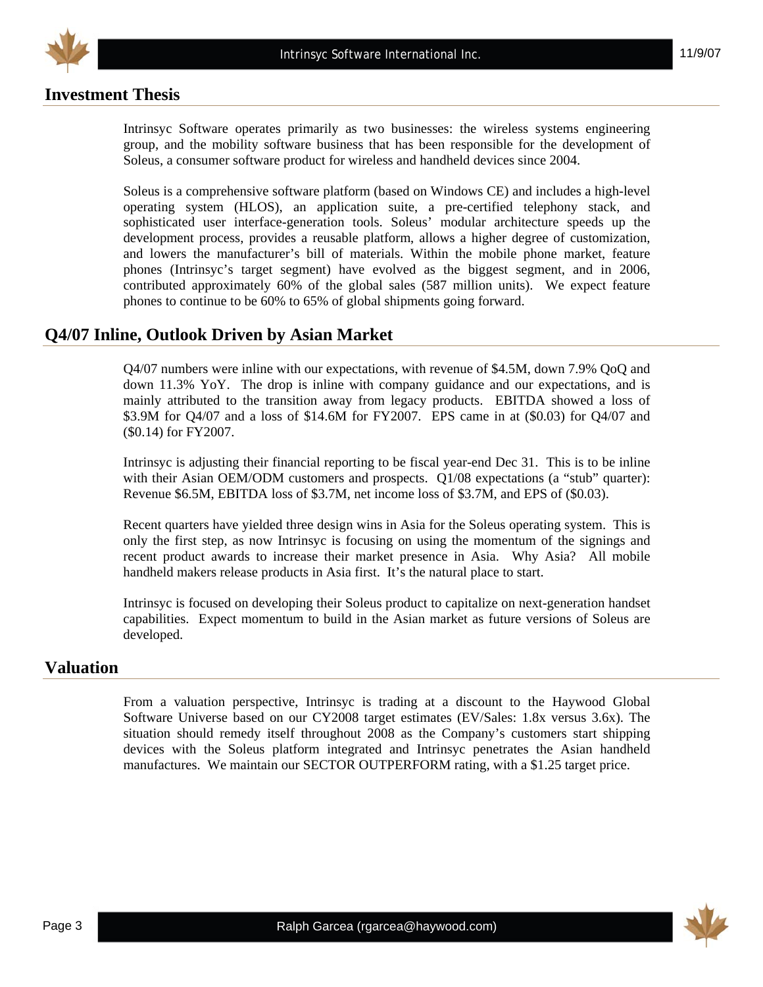

#### **Investment Thesis**

Intrinsyc Software operates primarily as two businesses: the wireless systems engineering group, and the mobility software business that has been responsible for the development of Soleus, a consumer software product for wireless and handheld devices since 2004.

Soleus is a comprehensive software platform (based on Windows CE) and includes a high-level operating system (HLOS), an application suite, a pre-certified telephony stack, and sophisticated user interface-generation tools. Soleus' modular architecture speeds up the development process, provides a reusable platform, allows a higher degree of customization, and lowers the manufacturer's bill of materials. Within the mobile phone market, feature phones (Intrinsyc's target segment) have evolved as the biggest segment, and in 2006, contributed approximately 60% of the global sales (587 million units). We expect feature phones to continue to be 60% to 65% of global shipments going forward.

#### **Q4/07 Inline, Outlook Driven by Asian Market**

Q4/07 numbers were inline with our expectations, with revenue of \$4.5M, down 7.9% QoQ and down 11.3% YoY. The drop is inline with company guidance and our expectations, and is mainly attributed to the transition away from legacy products. EBITDA showed a loss of \$3.9M for Q4/07 and a loss of \$14.6M for FY2007. EPS came in at (\$0.03) for Q4/07 and (\$0.14) for FY2007.

Intrinsyc is adjusting their financial reporting to be fiscal year-end Dec 31. This is to be inline with their Asian OEM/ODM customers and prospects. Q1/08 expectations (a "stub" quarter): Revenue \$6.5M, EBITDA loss of \$3.7M, net income loss of \$3.7M, and EPS of (\$0.03).

Recent quarters have yielded three design wins in Asia for the Soleus operating system. This is only the first step, as now Intrinsyc is focusing on using the momentum of the signings and recent product awards to increase their market presence in Asia. Why Asia? All mobile handheld makers release products in Asia first. It's the natural place to start.

Intrinsyc is focused on developing their Soleus product to capitalize on next-generation handset capabilities. Expect momentum to build in the Asian market as future versions of Soleus are developed.

#### **Valuation**

From a valuation perspective, Intrinsyc is trading at a discount to the Haywood Global Software Universe based on our CY2008 target estimates (EV/Sales: 1.8x versus 3.6x). The situation should remedy itself throughout 2008 as the Company's customers start shipping devices with the Soleus platform integrated and Intrinsyc penetrates the Asian handheld manufactures. We maintain our SECTOR OUTPERFORM rating, with a \$1.25 target price.

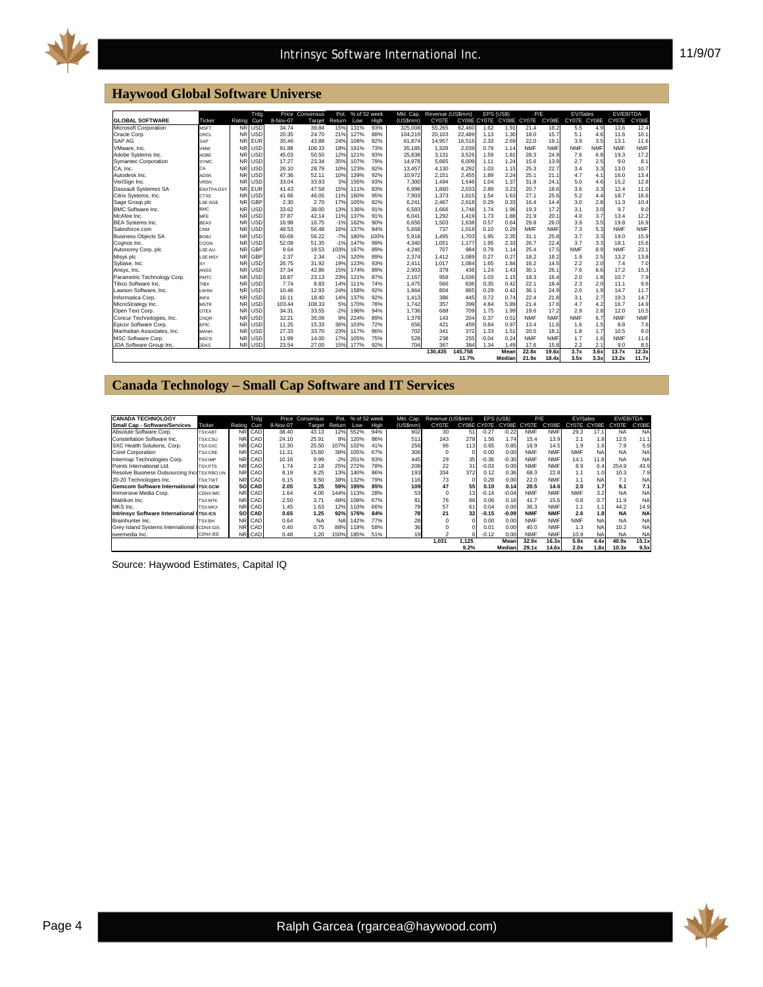

#### **Haywood Global Software Universe**

|                             |                   |           | Trdg       |          | Price Consensus | Pot.   | % of 52 week |      | Mkt. Cap. | Revenue (US\$mm) |             | EPS (USS) |             | P/F        |            | EV/Sales    |            | <b>EV/EBITDA</b> |            |
|-----------------------------|-------------------|-----------|------------|----------|-----------------|--------|--------------|------|-----------|------------------|-------------|-----------|-------------|------------|------------|-------------|------------|------------------|------------|
| <b>GLOBAL SOFTWARE</b>      | Ticker            | Rating    | Curr       | 8-Nov-07 | Target          | Return | Low          | High | (US\$mm)  | CY07E            | CY08E CY07E |           | CY08E CY07E |            | CY08E      | CY07E CY08E |            | CY07E            | CY08E      |
| Microsoft Corporation       | <b>MSFT</b>       | NR        | <b>USD</b> | 34.74    | 39.84           | 15%    | 131%         | 93%  | 325,008   | 55.265           | 62,460      | 1.62      | 1.91        | 21.4       | 18.2       | 5.5         | 4.9        | 13.6             | 12.4       |
| Oracle Corp.                | ORCL              | <b>NR</b> | <b>USD</b> | 20.35    | 24.70           | 21%    | 127%         | 88%  | 104,219   | 20.103           | 22.489      | 1.13      | 1.30        | 18.0       | 15.7       | 5.1         | 4.6        | 11.6             | 10.1       |
| SAP AG                      | SAP               |           | <b>FUR</b> | 35.46    | 43.88           | 24%    | 108%         | 82%  | 61.874    | 14.957           | 16.516      | 2.33      | 2.69        | 22.0       | 19.1       | 3.9         | 3.5        | 13.1             | 11.6       |
| VMware, Inc.                | VMW               | <b>NR</b> | <b>USD</b> | 91.88    | 108.33          | 18%    | 191%         | 73%  | 35.185    | 1.329            | 2.039       | 0.79      | 1.14        | <b>NMF</b> | <b>NMF</b> | <b>NMF</b>  | <b>NMF</b> | <b>NMF</b>       | <b>NMF</b> |
| Adobe Systems Inc.          | ADBE              | NR        | USD        | 45.03    | 50.50           | 12%    | 121%         | 93%  | 25.838    | 3.131            | 3.526       | 1.59      | 1.81        | 28.3       | 24.9       | 7.6         | 6.8        | 19.3             | 17.2       |
| Symantec Corporation        | <b>SYMC</b>       | <b>NR</b> | <b>USD</b> | 17.27    | 23.34           | 35%    | 107%         | 79%  | 14.978    | 5.665            | 6.009       | 1.11      | 1.24        | 15.6       | 13.9       | 2.7         | 2.5        | 9.0              | 8.1        |
| CA, Inc.                    | CA                |           | USD        | 26.10    | 28.79           | 10%    | 123%         | 92%  | 13.457    | 4.130            | 4.292       | 1.03      | 1.15        | 25.3       | 22.7       | 3.4         | 3.3        | 13.0             | 10.7       |
| Autodesk Inc.               | ADSK              | <b>NR</b> | USD        | 47.36    | 52.11           | 10%    | 139%         | 92%  | 10.972    | 2.151            | 2.455       | 1.89      | 2.24        | 25.1       | 21.1       | 4.7         | 4.1        | 16.0             | 13.4       |
| VeriSign Inc.               | VRSN              | <b>NR</b> | <b>USD</b> | 33.04    | 33.93           | 3%     | 155%         | 93%  | 7.300     | 1.494            | 1.646       | 1.04      | 1.37        | 31.8       | 24.1       | 5.0         | 4.6        | 15.2             | 12.8       |
| Dassault Systemes SA        | <b>FNXTPA DSY</b> | <b>NR</b> | <b>EUR</b> | 41.43    | 47.58           | 15%    | 111%         | 83%  | 6.998     | 1.860            | 2.033       | 2.89      | 3.23        | 20.7       | 18.6       | 3.6         | 3.3        | 12.4             | 11.0       |
| Citrix Systems, Inc.        | CTXS              | <b>NR</b> | <b>USD</b> | 41.66    | 46.05           | 11%    | 160%         | 95%  | 7.903     | 1.373            | 1.615       | 1.54      | 1.63        | 27.1       | 25.6       | 5.2         | 4.4        | 18.7             | 16.6       |
| Sage Group plc              | LSE:SGE           | <b>NR</b> | GBP        | 2.30     | 2.70            | 17%    | 105%         | 82%  | 6.241     | 2.467            | 2.618       | 0.29      | 0.33        | 16.4       | 14.4       | 3.0         | 2.8        | 11.3             | 10.4       |
| <b>BMC Software Inc.</b>    | <b>BMC</b>        | <b>NR</b> | <b>USD</b> | 33.62    | 38.00           | 13%    | 136%         | 91%  | 6.583     | 1.666            | 1.748       | 1.74      | 1.96        | 19.3       | 17.2       | 3.1         | 3.0        | 9.7              | 9.0        |
| McAfee Inc                  | MFE               | <b>NR</b> | USD        | 37.87    | 42.14           | 11%    | 137%         | 91%  | 6.041     | 1.292            | 1.419       | 1.73      | 1.88        | 21.9       | 20.1       | 4.0         | 3.7        | 13.4             | 12.2       |
| <b>BEA</b> Systems Inc.     | <b>BEAS</b>       | <b>NR</b> | USD        | 16.98    | 16.75           | $-1%$  | 162%         | 90%  | 6.656     | 1.503            | 1.638       | 0.57      | 0.64        | 29.8       | 26.0       | 3.9         | 3.5        | 19.8             | 16.9       |
| Salesforce.com              | CRM               | <b>NR</b> | USD        | 48.53    | 56.48           | 16%    | 137%         | 84%  | 5.668     | 737              | 1.018       | 0.10      | 0.29        | <b>NMF</b> | <b>NMF</b> | 7.3         | 5.3        | <b>NMF</b>       | <b>NMF</b> |
| <b>Business Objects SA</b>  | <b>BOBJ</b>       | <b>NR</b> | <b>USD</b> | 60.69    | 56.22           | $-7%$  | 180%         | 100% | 5.918     | 1.495            | 1,703       | 1.95      | 2.35        | 31.1       | 25.8       | 3.7         | 3.3        | 19.0             | 15.9       |
| Cognos Inc.                 | COGN              | <b>NR</b> | <b>USD</b> | 52.09    | 51.35           | $-1%$  | 147%         | 99%  | 4.340     | 1.051            | 1,177       | 1.95      | 2.33        | 26.7       | 22.4       | 3.7         | 3.3        | 18.1             | 15.6       |
| Autonomy Corp. plc          | LSE: AU           | <b>NR</b> | GBP        | 9.64     | 19.53           | 103%   | 197%         | 89%  | 4.246     | 707              | 984         | 0.79      | 1.14        | 25.4       | 17.5       | <b>NMF</b>  | 8.9        | <b>NMF</b>       | 23.1       |
| Misys plc                   | LSE:MSY           | <b>NR</b> | GBP        | 2.37     | 2.34            | $-1%$  | 120%         | 89%  | 2.374     | 1.412            | 1.089       | 0.27      | 0.27        | 18.2       | 18.2       | 1.9         | 2.5        | 13.2             | 13.8       |
| Sybase, Inc.                | SY                | <b>NR</b> | USD        | 26.75    | 31.92           | 19%    | 123%         | 93%  | 2.411     | 1.017            | 1.084       | 1.65      | 1.84        | 16.2       | 14.5       | 2.2         | 2.0        | 7.4              | 7.0        |
| Ansys, Inc.                 | ANSS              | <b>NR</b> | <b>USD</b> | 37.34    | 42.86           | 15%    | 174%         | 89%  | 2.903     | 379              | 436         | 1.24      | 1.43        | 30.1       | 26.1       | 7.6         | 6.6        | 17.2             | 15.3       |
| Parametric Technology Corp. | PMTC              | <b>NR</b> | <b>USD</b> | 18.87    | 23.13           | 23%    | 121%         | 87%  | 2.167     | 959              | 1.036       | 1.03      | 1.15        | 18.3       | 16.4       | 2.0         | 1.8        | 10.7             | 7.9        |
| Tibco Software Inc.         | TIBX              | <b>NR</b> | <b>USD</b> | 7.74     | 8.83            | 14%    | 111%         | 74%  | 1.475     | 566              | 636         | 0.35      | 0.42        | 22.1       | 18.4       | 2.3         | 2.0        | 11.1             | 9.6        |
| Lawson Software, Inc.       | LWSN              | <b>NR</b> | <b>USD</b> | 10.46    | 12.93           | 24%    | 158%         | 92%  | 1.864     | 804              | 865         | 0.29      | 0.42        | 36.1       | 24.9       | 2.0         | 1.9        | 14.7             | 11.7       |
| Informatica Corp.           | <b>INFA</b>       | <b>NR</b> | <b>USD</b> | 16.11    | 18.40           | 14%    | 137%         | 92%  | 1.413     | 386              | 445         | 0.72      | 0.74        | 22.4       | 21.8       | 3.1         | 2.7        | 19.3             | 14.7       |
| MicroStrategy Inc.          | <b>MSTR</b>       | <b>NR</b> | <b>USD</b> | 103.44   | 108.33          | 5%     | 170%         | 78%  | 1.742     | 357              | 399         | 4.84      | 5.89        | 21.4       | 17.6       | 4.7         | 4.2        | 16.7             | 14.9       |
| Open Text Corp.             | OTEX              | <b>NR</b> | <b>USD</b> | 34.31    | 33.55           | $-2%$  | 196%         | 94%  | 1.736     | 668              | 709         | 1.75      | 1.99        | 19.6       | 17.2       | 2.9         | 2.8        | 12.0             | 10.5       |
| Concur Technologies, Inc.   | CNQR              | <b>NR</b> | <b>USD</b> | 32.21    | 35.09           | 9%     | 224%         | 89%  | 1,379     | 143              | 204         | 0.37      | 0.51        | <b>NMF</b> | <b>NMF</b> | <b>NMF</b>  | 6.7        | <b>NMF</b>       | <b>NMF</b> |
| Epicor Software Corp.       | EPIC              | <b>NR</b> | <b>USD</b> | 11.25    | 15.33           | 36%    | 103%         | 72%  | 656       | 421              | 459         | 0.84      | 0.97        | 13.4       | 11.6       | 1.6         | 1.5        | 8.8              | 7.6        |
| Manhattan Associates, Inc.  | MANH              | <b>NR</b> | <b>USD</b> | 27.33    | 33.70           | 23%    | 117%         | 86%  | 702       | 341              | 372         | 1.33      | 1.51        | 20.5       | 18.1       | 1.8         | 1.7        | 10.5             | 9.0        |
| <b>MSC Software Corp.</b>   | MSCS              | <b>NR</b> | <b>USD</b> | 11.99    | 14.00           | 17%    | 105%         | 75%  | 528       | 238              | 255         | $-0.04$   | 0.24        | <b>NMF</b> | <b>NMF</b> | 1.7         | 1.6        | <b>NMF</b>       | 11.6       |
| JDA Software Group Inc.     | <b>JDAS</b>       | <b>NR</b> | <b>USD</b> | 23.54    | 27.00           | 15%    | 177%         | 92%  | 704       | 367              | 384         | 1.34      | 1.49        | 17.6       | 15.8       | 2.2         | 2.1        | 9.0              | 8.5        |
|                             |                   |           |            |          |                 |        |              |      |           | 130.435          | 45.758      |           | Mean        | 22.8x      | 19.6x      | 3.7x        | 3.6x       | 13.7x            | 12.3x      |
|                             |                   |           |            |          |                 |        |              |      |           |                  | 11.7%       |           | Median      | 21.9x      | 18.4x      | 3.5x        | 3.3x       | 13.2x            | 11.7x      |

#### **Canada Technology – Small Cap Software and IT Services**

| <b>CANADA TECHNOLOGY</b>                      |                |        |         |          | Trdg      |        | Price Consensus |      | Pot. % of 52 week |               | Mkt. Cap.       | Revenue (US\$mm) |                   |            | EPS (US\$) | P/E         |           | EV/Sales  |           | EV/EBITDA |  |
|-----------------------------------------------|----------------|--------|---------|----------|-----------|--------|-----------------|------|-------------------|---------------|-----------------|------------------|-------------------|------------|------------|-------------|-----------|-----------|-----------|-----------|--|
| <b>Small Cap - Software/Services</b>          | Ticker         | Rating | Curr    | 8-Nov-07 | Target    | Return | Low             | High | (US\$mm)          | CY07E         | CY08E CY07E     |                  | CY08E CY07E       |            | CY08E      | CY07E CY08E |           | CY07E     | CY08E     |           |  |
| Absolute Software Corp.                       | TSX:ABT        |        | NR CAD  | 38.40    | 43.13     | 12%    | 552%            | 94%  | 902               | 30            | 51              | $-0.27$          | $-0.22$           | <b>NMF</b> | <b>NMF</b> | 29.3        | 17.1      | <b>NA</b> | <b>NA</b> |           |  |
| Constellation Software Inc.                   | <b>TSX:CSU</b> |        | NR CAD  | 24.10    | 25.91     | 8%     | 20%             | 86%  | 511               | 243           | 278             | 1.56             | 1.74 <sub>1</sub> | 15.4       | 13.9       | 2.1         | 1.8       | 12.5      | 11.1      |           |  |
| SXC Health Solutions, Corp.                   | TSX:SXC        |        | NR CAD  | 12.30    | 25.50     | 107%   | 02%             | 41%  | 256               | 96            | 113             | 0.65             | 0.85              | 18.9       | 14.5       | 1.9         | 1.6       | 7.9       | 5.9       |           |  |
| Corel Corporation                             | <b>TSX:CRE</b> |        | NR CAD  | 11.31    | 15.60     | 38%    | 105%            | 67%  | 306               | $\mathbf 0$   |                 | 0.00             | 0.00              | <b>NMF</b> | <b>NMF</b> | <b>NMF</b>  | <b>NA</b> | <b>NA</b> | <b>NA</b> |           |  |
| Intermap Technologies Corp.                   | <b>TSX:IMP</b> |        | NR CAD  | 10.16    | 9.99      | $-2%$  | 201%            | 93%  | 445               | 29            | 35              | $-0.36$          | $-0.30$           | <b>NMF</b> | <b>NMF</b> | 14.1        | 11.8      | <b>NA</b> | <b>NA</b> |           |  |
| Points International Ltd.                     | <b>TSX:PTS</b> |        | NR CAD  | 1.74     | 2.18      | 25%    | 272%            | 78%  | 208               | 22            | 31              | $-0.03$          | 0.00              | <b>NMF</b> | <b>NMF</b> | 8.9         | 6.4       | 254.9     | 43.9      |           |  |
| Resolve Business Outsourcing IncoTSX:RBO.UN   |                |        | NRI CAD | 8.19     | 9.25      | 13%    | 140%            | 86%  | 193               | 334           | 372             | 0.12             | 0.36              | 68.3       | 22.8       | 1.1         | 1.0       | 10.3      | 7.9       |           |  |
| 20-20 Technologies Inc.                       | <b>TSX:TWT</b> |        | NR CAD  | 6.15     | 8.50      | 38%    | 32%             | 79%  | 116               | 73            |                 | 0.28             | 0.00              | 22.0       | <b>NMF</b> | 1.1         | <b>NA</b> | 7.1       | <b>NA</b> |           |  |
| <b>Gemcom Software International ITSX:GCM</b> |                | sol    | CAD     | 2.05     | 3.25      | 59%    | 195%            | 85%  | 109               | 47            | 55              | 0.10             | 0.14              | 20.5       | 14.6       | 2.0         | 1.7       | 9.1       | 7.1       |           |  |
| Immersive Media Corp.                         | CDNX:IMC       |        | NR CAD  | 1.64     | 4.00      | 144%   | 113%            | 28%  | 53                | $\mathbf 0$   | 13 <sup>1</sup> | $-0.14$          | $-0.04$           | <b>NMF</b> | <b>NMF</b> | <b>NMF</b>  | 3.2       | <b>NA</b> | <b>NA</b> |           |  |
| Matrikon Inc.                                 | <b>TSX:MTK</b> |        | NR CAD  | 2.50     | 3.71      | 48%    | 109%            | 67%  | 81                | 76            | 86              | 0.06             | 0.16              | 41.7       | 15.6       | 0.8         | 0.7       | 11.9      | <b>NA</b> |           |  |
| MKS Inc.                                      | <b>TSX:MKX</b> |        | NR CAD  | 1.45     | 1.63      | 12%    | 10%             | 66%  | 79                | 57            | 61              | 0.04             | 0.00              | 36.3       | <b>NMF</b> | 1.1         | 1.1       | 44.2      | 14.9      |           |  |
| <b>Intrinsvc Software International I</b>     | <b>TSX:ICS</b> | sol    | CAD     | 0.65     | 1.25      | 92%    | 176%            | 84%  | 78                | 21            | 32              | $-0.15$          | $-0.09$           | <b>NMF</b> | <b>NMF</b> | 2.6         | 1.8       | <b>NA</b> | <b>NA</b> |           |  |
| Brainhunter Inc.                              | <b>TSX:BH</b>  |        | NR CAD  | 0.64     | <b>NA</b> | NA.    | 142%            | 77%  | 28                | $\Omega$      |                 | 0.00             | 0.00              | <b>NMF</b> | <b>NMF</b> | <b>NMF</b>  | <b>NA</b> | <b>NA</b> | <b>NA</b> |           |  |
| Grev Island Systems International             | CDNX:GIS       |        | NR CAD  | 0.40     | 0.75      | 88%    | 18%             | 58%  | 36                | $\Omega$      |                 | 0.01             | 0.00              | 40.0       | <b>NMF</b> | 1.3         | <b>NA</b> | 10.2      | <b>NA</b> |           |  |
| iseemedia Inc.                                | CDNX:IEE       |        | NR CAD  | 0.48     | 1.20      | 150%   | 185%            | 51%  | 19                | $\mathcal{P}$ | n               | $-0.12$          | 0.00              | <b>NMF</b> | <b>NMF</b> | 10.9        | <b>NA</b> | <b>NA</b> | <b>NA</b> |           |  |
|                                               |                |        |         |          |           |        |                 |      |                   | 1.031         | 1.125           |                  | Mean              | 32.9x      | 16.3x      | 5.9x        | 4.4x      | 40.9x     | 15.1x     |           |  |
|                                               |                |        |         |          |           |        |                 |      |                   |               | 9.2%            |                  | <b>Median</b>     | 29.1x      | 14.6x      | 2.0x        | 1.8x      | 10.3x     | 9.5x      |           |  |

Source: Haywood Estimates, Capital IQ

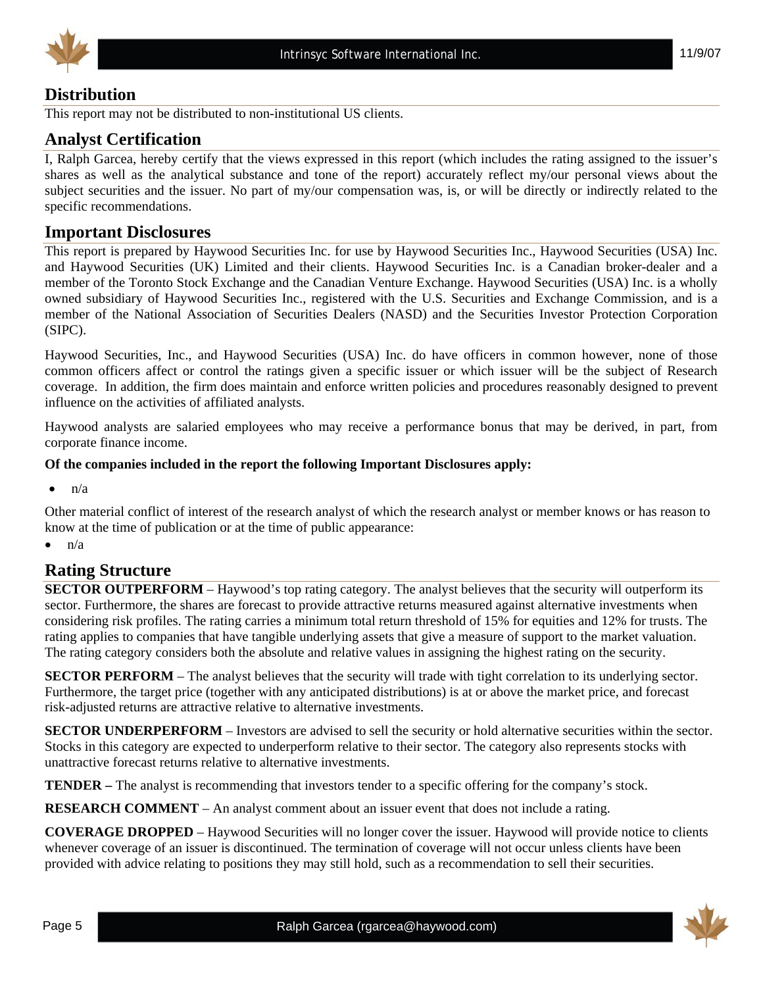



## **Distribution**

This report may not be distributed to non-institutional US clients.

#### **Analyst Certification**

I, Ralph Garcea, hereby certify that the views expressed in this report (which includes the rating assigned to the issuer's shares as well as the analytical substance and tone of the report) accurately reflect my/our personal views about the subject securities and the issuer. No part of my/our compensation was, is, or will be directly or indirectly related to the specific recommendations.

#### **Important Disclosures**

This report is prepared by Haywood Securities Inc. for use by Haywood Securities Inc., Haywood Securities (USA) Inc. and Haywood Securities (UK) Limited and their clients. Haywood Securities Inc. is a Canadian broker-dealer and a member of the Toronto Stock Exchange and the Canadian Venture Exchange. Haywood Securities (USA) Inc. is a wholly owned subsidiary of Haywood Securities Inc., registered with the U.S. Securities and Exchange Commission, and is a member of the National Association of Securities Dealers (NASD) and the Securities Investor Protection Corporation (SIPC).

Haywood Securities, Inc., and Haywood Securities (USA) Inc. do have officers in common however, none of those common officers affect or control the ratings given a specific issuer or which issuer will be the subject of Research coverage. In addition, the firm does maintain and enforce written policies and procedures reasonably designed to prevent influence on the activities of affiliated analysts.

Haywood analysts are salaried employees who may receive a performance bonus that may be derived, in part, from corporate finance income.

#### **Of the companies included in the report the following Important Disclosures apply:**

 $\bullet$  n/a

Other material conflict of interest of the research analyst of which the research analyst or member knows or has reason to know at the time of publication or at the time of public appearance:

 $\bullet$   $\bullet$   $\bullet$ 

## **Rating Structure**

**SECTOR OUTPERFORM** – Haywood's top rating category. The analyst believes that the security will outperform its sector. Furthermore, the shares are forecast to provide attractive returns measured against alternative investments when considering risk profiles. The rating carries a minimum total return threshold of 15% for equities and 12% for trusts. The rating applies to companies that have tangible underlying assets that give a measure of support to the market valuation. The rating category considers both the absolute and relative values in assigning the highest rating on the security.

**SECTOR PERFORM** – The analyst believes that the security will trade with tight correlation to its underlying sector. Furthermore, the target price (together with any anticipated distributions) is at or above the market price, and forecast risk-adjusted returns are attractive relative to alternative investments.

**SECTOR UNDERPERFORM** – Investors are advised to sell the security or hold alternative securities within the sector. Stocks in this category are expected to underperform relative to their sector. The category also represents stocks with unattractive forecast returns relative to alternative investments.

**TENDER –** The analyst is recommending that investors tender to a specific offering for the company's stock.

**RESEARCH COMMENT** – An analyst comment about an issuer event that does not include a rating.

**COVERAGE DROPPED** – Haywood Securities will no longer cover the issuer. Haywood will provide notice to clients whenever coverage of an issuer is discontinued. The termination of coverage will not occur unless clients have been provided with advice relating to positions they may still hold, such as a recommendation to sell their securities.

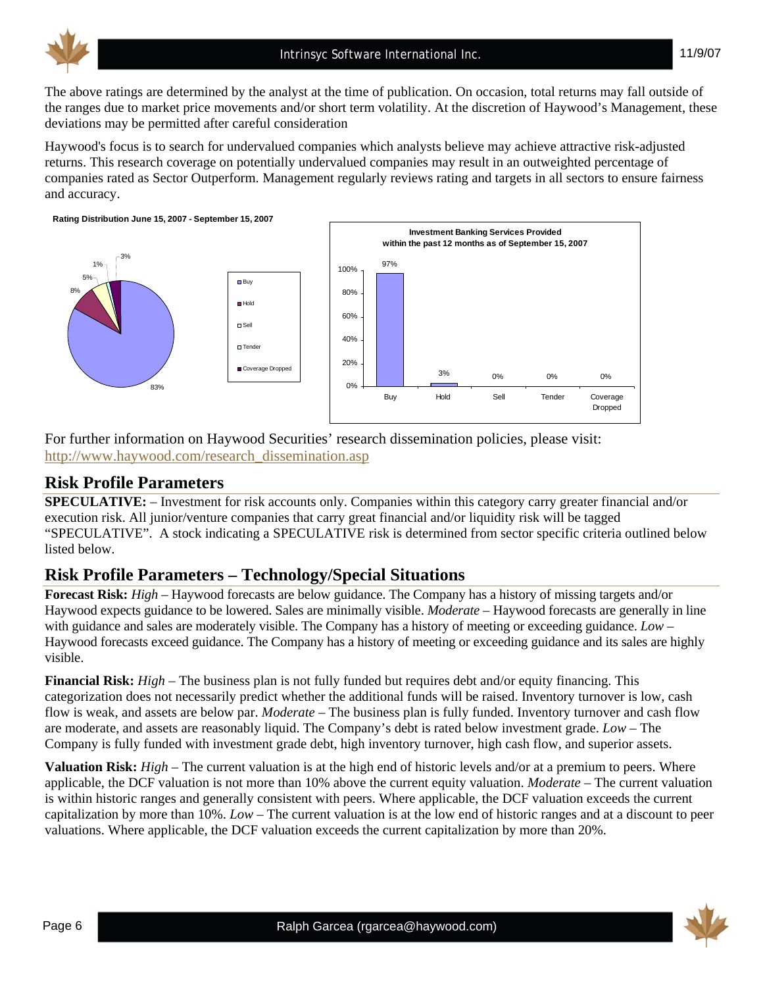

11/9/07

The above ratings are determined by the analyst at the time of publication. On occasion, total returns may fall outside of the ranges due to market price movements and/or short term volatility. At the discretion of Haywood's Management, these deviations may be permitted after careful consideration

Haywood's focus is to search for undervalued companies which analysts believe may achieve attractive risk-adjusted returns. This research coverage on potentially undervalued companies may result in an outweighted percentage of companies rated as Sector Outperform. Management regularly reviews rating and targets in all sectors to ensure fairness and accuracy.





For further information on Haywood Securities' research dissemination policies, please visit: http://www.haywood.com/research\_dissemination.asp

# **Risk Profile Parameters**

**SPECULATIVE:** – Investment for risk accounts only. Companies within this category carry greater financial and/or execution risk. All junior/venture companies that carry great financial and/or liquidity risk will be tagged "SPECULATIVE". A stock indicating a SPECULATIVE risk is determined from sector specific criteria outlined below listed below.

# **Risk Profile Parameters – Technology/Special Situations**

**Forecast Risk:** *High* – Haywood forecasts are below guidance. The Company has a history of missing targets and/or Haywood expects guidance to be lowered. Sales are minimally visible. *Moderate* – Haywood forecasts are generally in line with guidance and sales are moderately visible. The Company has a history of meeting or exceeding guidance. *Low* – Haywood forecasts exceed guidance. The Company has a history of meeting or exceeding guidance and its sales are highly visible.

**Financial Risk:** *High* – The business plan is not fully funded but requires debt and/or equity financing. This categorization does not necessarily predict whether the additional funds will be raised. Inventory turnover is low, cash flow is weak, and assets are below par. *Moderate* – The business plan is fully funded. Inventory turnover and cash flow are moderate, and assets are reasonably liquid. The Company's debt is rated below investment grade. *Low* – The Company is fully funded with investment grade debt, high inventory turnover, high cash flow, and superior assets.

**Valuation Risk:** *High* – The current valuation is at the high end of historic levels and/or at a premium to peers. Where applicable, the DCF valuation is not more than 10% above the current equity valuation. *Moderate* – The current valuation is within historic ranges and generally consistent with peers. Where applicable, the DCF valuation exceeds the current capitalization by more than 10%. *Low* – The current valuation is at the low end of historic ranges and at a discount to peer valuations. Where applicable, the DCF valuation exceeds the current capitalization by more than 20%.